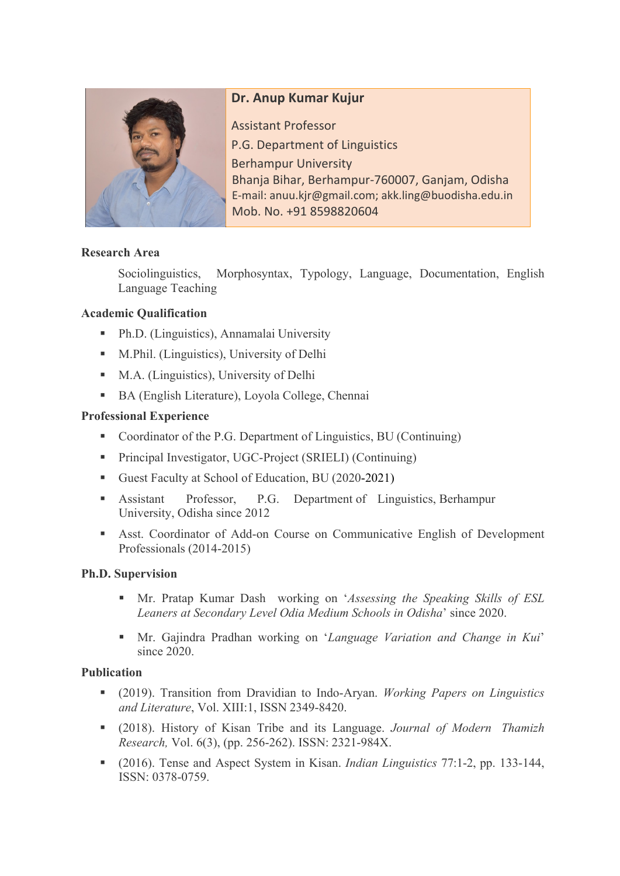

# **Dr. Anup Kumar Kujur**

Assistant Professor P.G. Department of Linguistics Berhampur University Bhanja Bihar, Berhampur-760007, Ganjam, Odisha E-mail: anuu.kjr@gmail.com; akk.ling@buodisha.edu.in Mob. No. +91 8598820604

### **Research Area**

Sociolinguistics, Morphosyntax, Typology, Language, Documentation, English Language Teaching

### **Academic Qualification**

- Ph.D. (Linguistics), Annamalai University
- M.Phil. (Linguistics), University of Delhi
- M.A. (Linguistics), University of Delhi
- BA (English Literature), Loyola College, Chennai

### **Professional Experience**

- Coordinator of the P.G. Department of Linguistics, BU (Continuing)
- Principal Investigator, UGC-Project (SRIELI) (Continuing)
- Guest Faculty at School of Education, BU (2020-2021)
- § Assistant Professor, P.G. Department of Linguistics, Berhampur University, Odisha since 2012
- § Asst. Coordinator of Add-on Course on Communicative English of Development Professionals (2014-2015)

### **Ph.D. Supervision**

- § Mr. Pratap Kumar Dash working on '*Assessing the Speaking Skills of ESL Leaners at Secondary Level Odia Medium Schools in Odisha*' since 2020.
- § Mr. Gajindra Pradhan working on '*Language Variation and Change in Kui*' since 2020.

### **Publication**

- § (2019). Transition from Dravidian to Indo-Aryan. *Working Papers on Linguistics and Literature*, Vol. XIII:1, ISSN 2349-8420.
- § (2018). History of Kisan Tribe and its Language. *Journal of Modern Thamizh Research,* Vol. 6(3), (pp. 256-262). ISSN: 2321-984X.
- § (2016). Tense and Aspect System in Kisan. *Indian Linguistics* 77:1-2, pp. 133-144, ISSN: 0378-0759.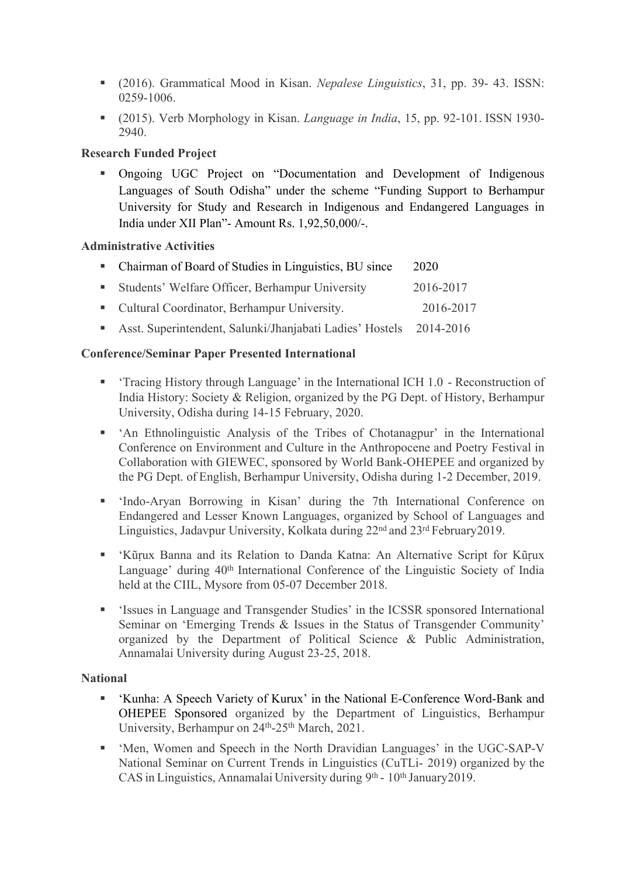- § (2016). Grammatical Mood in Kisan. *Nepalese Linguistics*, 31, pp. 39- 43. ISSN: 0259-1006.
- § (2015). Verb Morphology in Kisan. *Language in India*, 15, pp. 92-101. ISSN 1930- 2940.

## **Research Funded Project**

§ Ongoing UGC Project on "Documentation and Development of Indigenous Languages of South Odisha" under the scheme "Funding Support to Berhampur University for Study and Research in Indigenous and Endangered Languages in India under XII Plan"- Amount Rs. 1,92,50,000/-.

### **Administrative Activities**

| • Chairman of Board of Studies in Linguistics, BU since              | 2020      |
|----------------------------------------------------------------------|-----------|
| • Students' Welfare Officer, Berhampur University                    | 2016-2017 |
| • Cultural Coordinator, Berhampur University.                        | 2016-2017 |
| • Asst. Superintendent, Salunki/Jhanjabati Ladies' Hostels 2014-2016 |           |

### **Conference/Seminar Paper Presented International**

- § 'Tracing History through Language' in the International ICH 1.0 Reconstruction of India History: Society & Religion, organized by the PG Dept. of History, Berhampur University, Odisha during 14-15 February, 2020.
- § 'An Ethnolinguistic Analysis of the Tribes of Chotanagpur' in the International Conference on Environment and Culture in the Anthropocene and Poetry Festival in Collaboration with GIEWEC, sponsored by World Bank-OHEPEE and organized by the PG Dept. of English, Berhampur University, Odisha during 1-2 December, 2019.
- § 'Indo-Aryan Borrowing in Kisan' during the 7th International Conference on Endangered and Lesser Known Languages, organized by School of Languages and Linguistics, Jadavpur University, Kolkata during 22nd and 23rd February2019.
- § 'Kũṛux Banna and its Relation to Danda Katna: An Alternative Script for Kũṛux Language' during 40<sup>th</sup> International Conference of the Linguistic Society of India held at the CIIL, Mysore from 05-07 December 2018.
- § 'Issues in Language and Transgender Studies' in the ICSSR sponsored International Seminar on 'Emerging Trends & Issues in the Status of Transgender Community' organized by the Department of Political Science & Public Administration, Annamalai University during August 23-25, 2018.

### **National**

- § 'Kunha: A Speech Variety of Kurux' in the National E-Conference Word-Bank and OHEPEE Sponsored organized by the Department of Linguistics, Berhampur University, Berhampur on 24<sup>th</sup>-25<sup>th</sup> March, 2021.
- § 'Men, Women and Speech in the North Dravidian Languages' in the UGC-SAP-V National Seminar on Current Trends in Linguistics (CuTLi- 2019) organized by the CAS in Linguistics, Annamalai University during 9th - 10th January2019.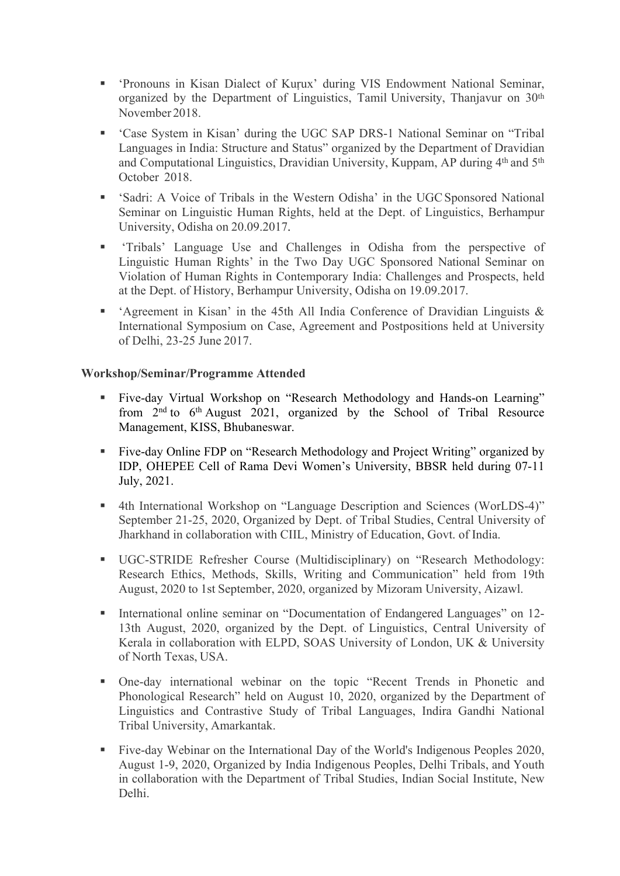- § 'Pronouns in Kisan Dialect of Kuṛux' during VIS Endowment National Seminar, organized by the Department of Linguistics, Tamil University, Thanjavur on 30<sup>th</sup> November 2018.
- § 'Case System in Kisan' during the UGC SAP DRS-1 National Seminar on "Tribal Languages in India: Structure and Status" organized by the Department of Dravidian and Computational Linguistics, Dravidian University, Kuppam, AP during 4th and 5th October 2018.
- § 'Sadri: A Voice of Tribals in the Western Odisha' in the UGCSponsored National Seminar on Linguistic Human Rights, held at the Dept. of Linguistics, Berhampur University, Odisha on 20.09.2017.
- § 'Tribals' Language Use and Challenges in Odisha from the perspective of Linguistic Human Rights' in the Two Day UGC Sponsored National Seminar on Violation of Human Rights in Contemporary India: Challenges and Prospects, held at the Dept. of History, Berhampur University, Odisha on 19.09.2017.
- § 'Agreement in Kisan' in the 45th All India Conference of Dravidian Linguists & International Symposium on Case, Agreement and Postpositions held at University of Delhi, 23-25 June 2017.

#### **Workshop/Seminar/Programme Attended**

- § Five-day Virtual Workshop on "Research Methodology and Hands-on Learning" from  $2<sup>nd</sup>$  to  $6<sup>th</sup>$  August 2021, organized by the School of Tribal Resource Management, KISS, Bhubaneswar.
- Five-day Online FDP on "Research Methodology and Project Writing" organized by IDP, OHEPEE Cell of Rama Devi Women's University, BBSR held during 07-11 July, 2021.
- 4th International Workshop on "Language Description and Sciences (WorLDS-4)" September 21-25, 2020, Organized by Dept. of Tribal Studies, Central University of Jharkhand in collaboration with CIIL, Ministry of Education, Govt. of India.
- § UGC-STRIDE Refresher Course (Multidisciplinary) on "Research Methodology: Research Ethics, Methods, Skills, Writing and Communication" held from 19th August, 2020 to 1st September, 2020, organized by Mizoram University, Aizawl.
- International online seminar on "Documentation of Endangered Languages" on 12-13th August, 2020, organized by the Dept. of Linguistics, Central University of Kerala in collaboration with ELPD, SOAS University of London, UK & University of North Texas, USA.
- § One-day international webinar on the topic "Recent Trends in Phonetic and Phonological Research" held on August 10, 2020, organized by the Department of Linguistics and Contrastive Study of Tribal Languages, Indira Gandhi National Tribal University, Amarkantak.
- Five-day Webinar on the International Day of the World's Indigenous Peoples 2020, August 1-9, 2020, Organized by India Indigenous Peoples, Delhi Tribals, and Youth in collaboration with the Department of Tribal Studies, Indian Social Institute, New Delhi.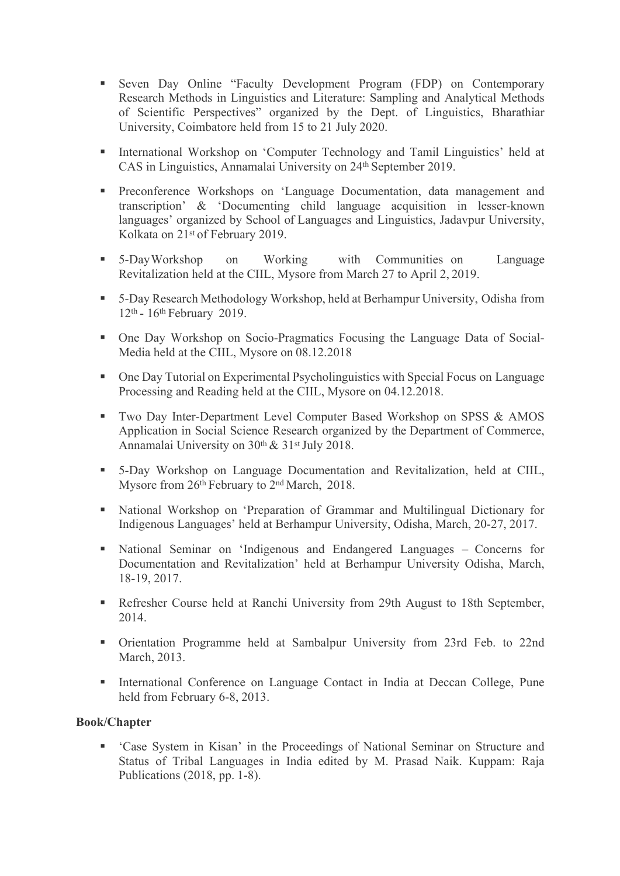- § Seven Day Online "Faculty Development Program (FDP) on Contemporary Research Methods in Linguistics and Literature: Sampling and Analytical Methods of Scientific Perspectives" organized by the Dept. of Linguistics, Bharathiar University, Coimbatore held from 15 to 21 July 2020.
- § International Workshop on 'Computer Technology and Tamil Linguistics' held at CAS in Linguistics, Annamalai University on 24th September 2019.
- § Preconference Workshops on 'Language Documentation, data management and transcription' & 'Documenting child language acquisition in lesser-known languages' organized by School of Languages and Linguistics, Jadavpur University, Kolkata on 21st of February 2019.
- § 5-DayWorkshop on Working with Communities on Language Revitalization held at the CIIL, Mysore from March 27 to April 2, 2019.
- 5-Day Research Methodology Workshop, held at Berhampur University, Odisha from 12th - 16th February 2019.
- One Day Workshop on Socio-Pragmatics Focusing the Language Data of Social-Media held at the CIIL, Mysore on 08.12.2018
- One Day Tutorial on Experimental Psycholinguistics with Special Focus on Language Processing and Reading held at the CIIL, Mysore on 04.12.2018.
- Two Day Inter-Department Level Computer Based Workshop on SPSS & AMOS Application in Social Science Research organized by the Department of Commerce, Annamalai University on 30th & 31st July 2018.
- § 5-Day Workshop on Language Documentation and Revitalization, held at CIIL, Mysore from 26th February to 2nd March, 2018.
- National Workshop on 'Preparation of Grammar and Multilingual Dictionary for Indigenous Languages' held at Berhampur University, Odisha, March, 20-27, 2017.
- § National Seminar on 'Indigenous and Endangered Languages Concerns for Documentation and Revitalization' held at Berhampur University Odisha, March, 18-19, 2017.
- Refresher Course held at Ranchi University from 29th August to 18th September, 2014.
- § Orientation Programme held at Sambalpur University from 23rd Feb. to 22nd March, 2013.
- International Conference on Language Contact in India at Deccan College, Pune held from February 6-8, 2013.

#### **Book/Chapter**

§ 'Case System in Kisan' in the Proceedings of National Seminar on Structure and Status of Tribal Languages in India edited by M. Prasad Naik. Kuppam: Raja Publications (2018, pp. 1-8).